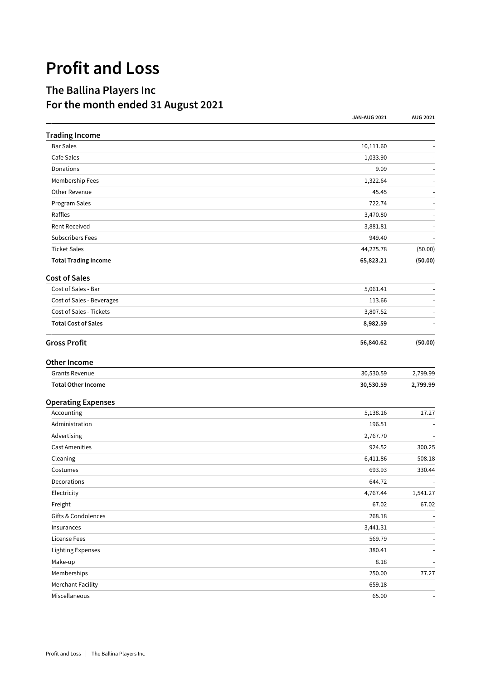## **Profit and Loss**

## **The Ballina Players Inc For the month ended 31 August 2021**

|                             | <b>JAN-AUG 2021</b> | AUG 2021                 |
|-----------------------------|---------------------|--------------------------|
| <b>Trading Income</b>       |                     |                          |
| <b>Bar Sales</b>            | 10,111.60           |                          |
| Cafe Sales                  | 1,033.90            |                          |
| Donations                   | 9.09                |                          |
| Membership Fees             | 1,322.64            |                          |
| Other Revenue               | 45.45               |                          |
| Program Sales               | 722.74              |                          |
| Raffles                     | 3,470.80            |                          |
| <b>Rent Received</b>        | 3,881.81            |                          |
| <b>Subscribers Fees</b>     | 949.40              |                          |
| <b>Ticket Sales</b>         | 44,275.78           | (50.00)                  |
| <b>Total Trading Income</b> | 65,823.21           | (50.00)                  |
| <b>Cost of Sales</b>        |                     |                          |
| Cost of Sales - Bar         | 5,061.41            |                          |
| Cost of Sales - Beverages   | 113.66              |                          |
| Cost of Sales - Tickets     | 3,807.52            |                          |
| <b>Total Cost of Sales</b>  | 8,982.59            |                          |
| <b>Gross Profit</b>         | 56,840.62           | (50.00)                  |
| <b>Other Income</b>         |                     |                          |
| <b>Grants Revenue</b>       | 30,530.59           | 2,799.99                 |
| <b>Total Other Income</b>   | 30,530.59           | 2,799.99                 |
| <b>Operating Expenses</b>   |                     |                          |
| Accounting                  | 5,138.16            | 17.27                    |
| Administration              | 196.51              |                          |
| Advertising                 | 2,767.70            |                          |
| <b>Cast Amenities</b>       | 924.52              | 300.25                   |
| Cleaning                    | 6,411.86            | 508.18                   |
| Costumes                    | 693.93              | 330.44                   |
| Decorations                 | 644.72              | $\overline{\phantom{a}}$ |
| Electricity                 | 4,767.44            | 1,541.27                 |
| Freight                     | 67.02               | 67.02                    |
| Gifts & Condolences         | 268.18              |                          |
| Insurances                  | 3,441.31            | $\overline{a}$           |
| License Fees                | 569.79              | $\overline{\phantom{a}}$ |
| <b>Lighting Expenses</b>    | 380.41              | $\blacksquare$           |
| Make-up                     | 8.18                | $\sim$                   |
| Memberships                 | 250.00              | 77.27                    |
| <b>Merchant Facility</b>    | 659.18              |                          |
| Miscellaneous               | 65.00               | $\sim$                   |